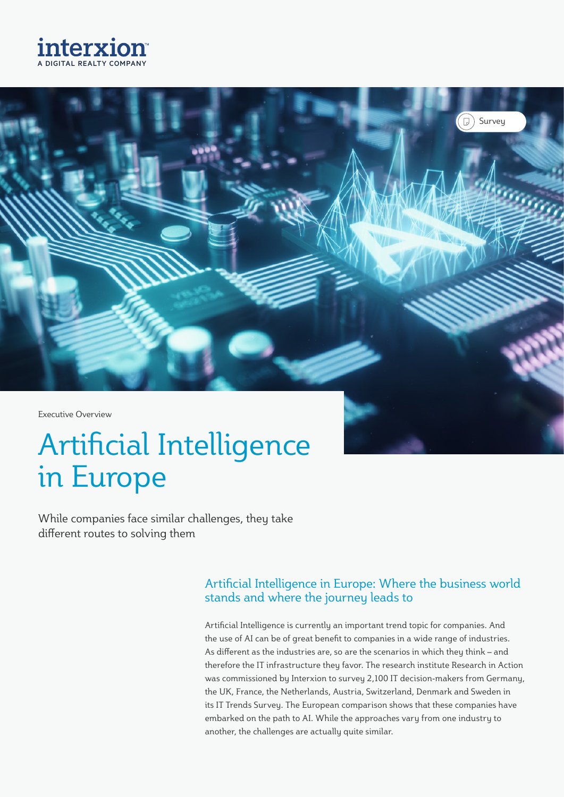



# Artificial Intelligence in Europe

While companies face similar challenges, they take different routes to solving them

#### Artificial Intelligence in Europe: Where the business world stands and where the journey leads to

Artificial Intelligence is currently an important trend topic for companies. And the use of AI can be of great benefit to companies in a wide range of industries. As different as the industries are, so are the scenarios in which they think – and therefore the IT infrastructure they favor. The research institute Research in Action was commissioned by Interxion to survey 2,100 IT decision-makers from Germany, the UK, France, the Netherlands, Austria, Switzerland, Denmark and Sweden in its IT Trends Survey. The European comparison shows that these companies have embarked on the path to AI. While the approaches vary from one industry to another, the challenges are actually quite similar.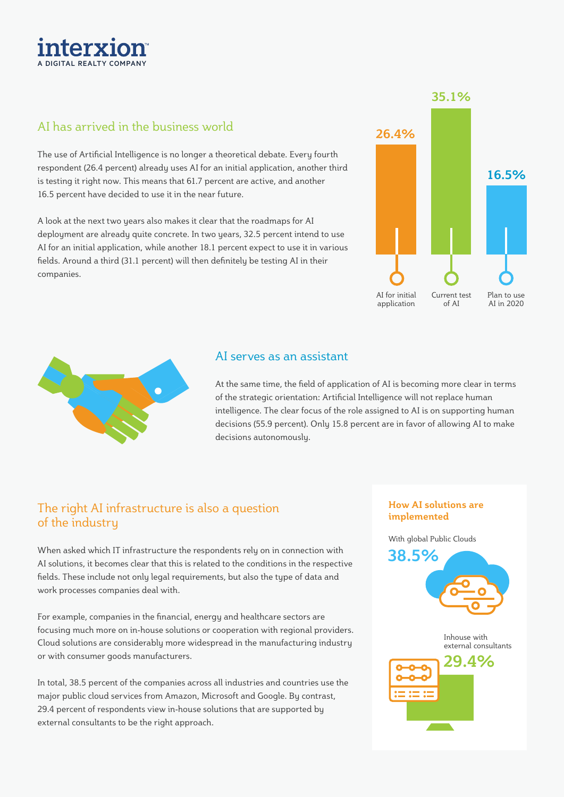#### AI has arrived in the business world

The use of Artificial Intelligence is no longer a theoretical debate. Every fourth respondent (26.4 percent) already uses AI for an initial application, another third is testing it right now. This means that 61.7 percent are active, and another 16.5 percent have decided to use it in the near future.

A look at the next two years also makes it clear that the roadmaps for AI deployment are already quite concrete. In two years, 32.5 percent intend to use AI for an initial application, while another 18.1 percent expect to use it in various fields. Around a third (31.1 percent) will then definitely be testing AI in their companies.

## **26.4% 35.1% 16.5%** Plan to use AI in 2020 Current test of AI AI for initial application

#### AI serves as an assistant

At the same time, the field of application of AI is becoming more clear in terms of the strategic orientation: Artificial Intelligence will not replace human intelligence. The clear focus of the role assigned to AI is on supporting human decisions (55.9 percent). Only 15.8 percent are in favor of allowing AI to make decisions autonomously.

#### The right AI infrastructure is also a question of the industry

When asked which IT infrastructure the respondents rely on in connection with AI solutions, it becomes clear that this is related to the conditions in the respective fields. These include not only legal requirements, but also the type of data and work processes companies deal with.

For example, companies in the financial, energy and healthcare sectors are focusing much more on in-house solutions or cooperation with regional providers. Cloud solutions are considerably more widespread in the manufacturing industry or with consumer goods manufacturers.

In total, 38.5 percent of the companies across all industries and countries use the major public cloud services from Amazon, Microsoft and Google. By contrast, 29.4 percent of respondents view in-house solutions that are supported by external consultants to be the right approach.

#### **How AI solutions are implemented**

With global Public Clouds





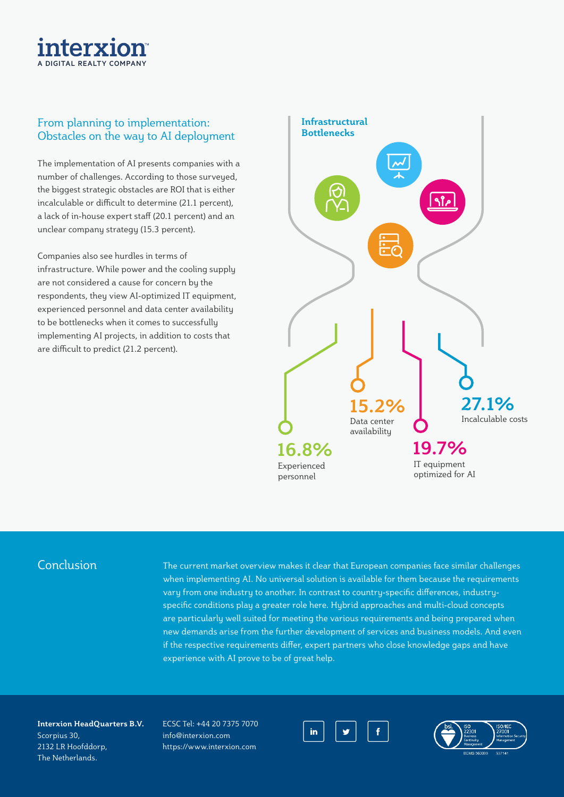### interx A DIGITAL REALTY COMPANY

#### From planning to implementation: Obstacles on the way to AI deployment

The implementation of AI presents companies with a number of challenges. According to those surveyed, the biggest strategic obstacles are ROI that is either incalculable or difficult to determine (21.1 percent), a lack of in-house expert staff (20.1 percent) and an unclear company strategy (15.3 percent).

Companies also see hurdles in terms of infrastructure. While power and the cooling supply are not considered a cause for concern by the respondents, they view AI-optimized IT equipment, experienced personnel and data center availability to be bottlenecks when it comes to successfully implementing AI projects, in addition to costs that are difficult to predict (21.2 percent).



#### Conclusion

The current market overview makes it clear that European companies face similar challenges when implementing AI. No universal solution is available for them because the requirements vary from one industry to another. In contrast to country-specific differences, industryspecific conditions play a greater role here. Hybrid approaches and multi-cloud concepts are particularly well suited for meeting the various requirements and being prepared when new demands arise from the further development of services and business models. And even if the respective requirements differ, expert partners who close knowledge gaps and have experience with AI prove to be of great help.

**Interxion HeadQuarters B.V.** Scorpius 30, 2132 LR Hoofddorp, The Netherlands.

ECSC Tel: +44 20 7375 7070 info@interxion.com https://www.interxion.com



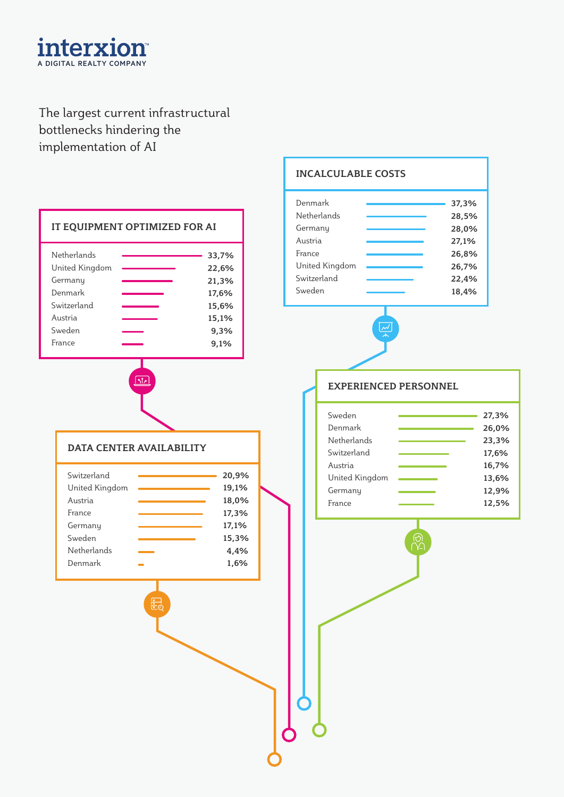

#### The largest current infrastructural bottlenecks hindering the implementation of AI



#### **INCALCULABLE COSTS**

| Denmark<br>Netherlands<br>Germany | 37,3%<br>28,5%<br>28,0% |
|-----------------------------------|-------------------------|
| Austria<br>France                 | 27,1%<br>26,8%          |
| United Kingdom                    | 26,7%                   |
| Sweden                            | 18,4%                   |
| Switzerland                       | 22,4%                   |



#### **EXPERIENCED PERSONNEL**

| Sweden         | 27,3% |
|----------------|-------|
| Denmark        | 26,0% |
| Netherlands    | 23,3% |
| Switzerland    | 17,6% |
| Austria        | 16,7% |
| United Kingdom | 13,6% |
| Germany        | 12,9% |
| France         | 12,5% |
|                |       |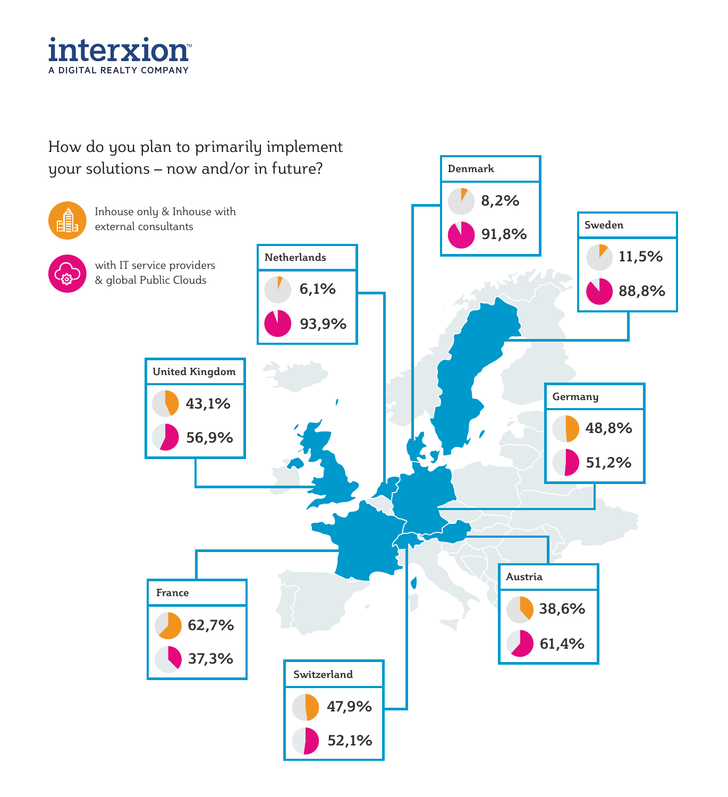

#### How do you plan to primarily implement your solutions – now and/or in future?



**Denmark**